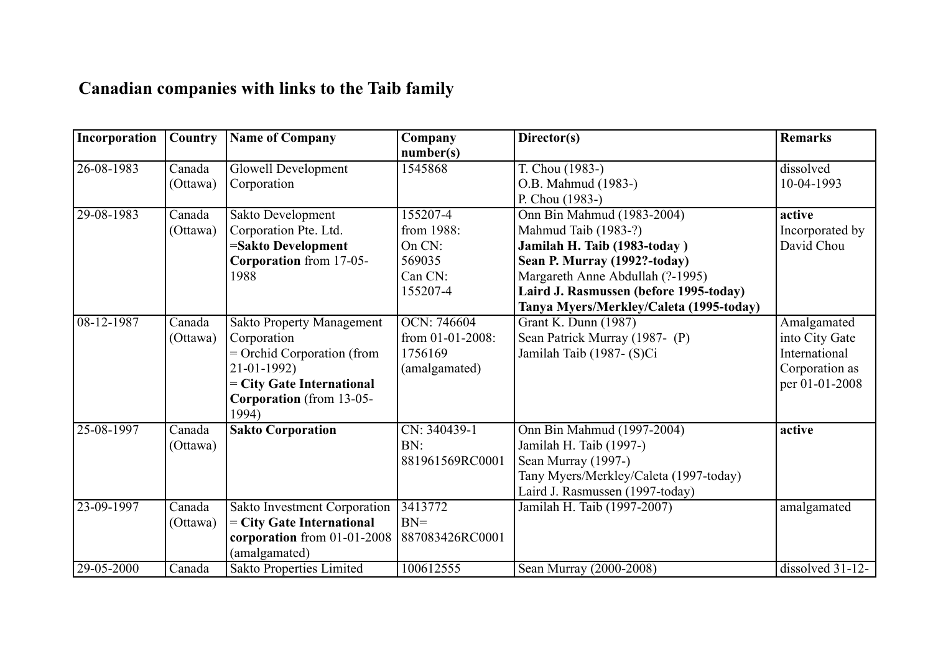## **Canadian companies with links to the Taib family**

| Incorporation    | Country  | <b>Name of Company</b>           | Company          | Director(s)                             | <b>Remarks</b>   |
|------------------|----------|----------------------------------|------------------|-----------------------------------------|------------------|
|                  |          |                                  | number(s)        |                                         |                  |
| $26 - 08 - 1983$ | Canada   | <b>Glowell Development</b>       | 1545868          | T. Chou (1983-)                         | dissolved        |
|                  | (Ottawa) | Corporation                      |                  | O.B. Mahmud (1983-)                     | 10-04-1993       |
|                  |          |                                  |                  | P. Chou (1983-)                         |                  |
| 29-08-1983       | Canada   | Sakto Development                | 155207-4         | Onn Bin Mahmud (1983-2004)              | active           |
|                  | (Ottawa) | Corporation Pte. Ltd.            | from 1988:       | Mahmud Taib (1983-?)                    | Incorporated by  |
|                  |          | =Sakto Development               | On CN:           | Jamilah H. Taib (1983-today)            | David Chou       |
|                  |          | Corporation from 17-05-          | 569035           | Sean P. Murray (1992?-today)            |                  |
|                  |          | 1988                             | Can CN:          | Margareth Anne Abdullah (?-1995)        |                  |
|                  |          |                                  | 155207-4         | Laird J. Rasmussen (before 1995-today)  |                  |
|                  |          |                                  |                  | Tanya Myers/Merkley/Caleta (1995-today) |                  |
| 08-12-1987       | Canada   | <b>Sakto Property Management</b> | OCN: 746604      | Grant K. Dunn (1987)                    | Amalgamated      |
|                  | (Ottawa) | Corporation                      | from 01-01-2008: | Sean Patrick Murray (1987-(P)           | into City Gate   |
|                  |          | $=$ Orchid Corporation (from     | 1756169          | Jamilah Taib (1987- (S)Ci               | International    |
|                  |          | $21-01-1992$                     | (amalgamated)    |                                         | Corporation as   |
|                  |          | = City Gate International        |                  |                                         | per 01-01-2008   |
|                  |          | Corporation (from 13-05-         |                  |                                         |                  |
|                  |          | 1994)                            |                  |                                         |                  |
| 25-08-1997       | Canada   | <b>Sakto Corporation</b>         | CN: 340439-1     | Onn Bin Mahmud (1997-2004)              | active           |
|                  | (Ottawa) |                                  | BN:              | Jamilah H. Taib (1997-)                 |                  |
|                  |          |                                  | 881961569RC0001  | Sean Murray (1997-)                     |                  |
|                  |          |                                  |                  | Tany Myers/Merkley/Caleta (1997-today)  |                  |
|                  |          |                                  |                  | Laird J. Rasmussen (1997-today)         |                  |
| 23-09-1997       | Canada   | Sakto Investment Corporation     | 3413772          | Jamilah H. Taib (1997-2007)             | amalgamated      |
|                  | (Ottawa) | $=$ City Gate International      | $BN =$           |                                         |                  |
|                  |          | corporation from 01-01-2008      | 887083426RC0001  |                                         |                  |
|                  |          | (amalgamated)                    |                  |                                         |                  |
| 29-05-2000       | Canada   | Sakto Properties Limited         | 100612555        | Sean Murray (2000-2008)                 | dissolved 31-12- |